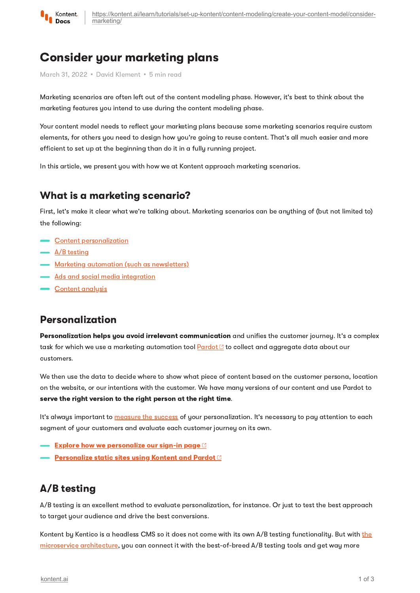

# Consider your marketing plans

March 31, 2022 · David Klement · 5 min read

Marketing scenarios are often left out of the content modeling phase. However, it's best to think about the marketing features you intend to use during the content modeling phase.

Your content model needs to reflect your marketing plans because some marketing scenarios require custom elements, for others you need to design how you're going to reuse content. That's all much easier and more efficient to set up at the beginning than do it in a fully running project.

In this article, we present you with how we at Kontent approach marketing scenarios.

### What is a marketing scenario?

First, let's make it clear what we're talking about. Marketing scenarios can be anything of (but not limited to) the following:

- Content [personalization](#page-0-0)
- $\overline{A/B}$  [testing](#page-0-1)
- Marketing automation (such as [newsletters\)](#page-1-1)
- **Ads and social media [integration](#page-1-2)**
- **Content [analysis](#page-1-0)**

### <span id="page-0-0"></span>Personalization

Personalization helps you avoid irrelevant communication and unifies the customer journey. It's a complex task for which we use a marketing automation tool  $\frac{Pardot C}{}$  $\frac{Pardot C}{}$  $\frac{Pardot C}{}$  to collect and aggregate data about our customers.

We then use the data to decide where to show what piece of content based on the customer persona, location on the website, or our intentions with the customer. We have many versions of our content and use Pardot to serve the right version to the right person at the right time.

It's always important to [measure](#page-1-0) the success of your personalization. It's necessary to pay attention to each segment of your customers and evaluate each customer journey on its own.

- $\blacksquare$  Explore how we [personalize](https://kontent.ai/blog/kontent-loves-personalization/) our sign-in page  $\boxtimes$
- **[Personalize](https://kontent.ai/blog/static-site-personalization/) static sites using Kontent and Pardot**  $\heartsuit$

### <span id="page-0-1"></span>A/B testing

A/B testing is an excellent method to evaluate personalization, for instance. Or just to test the best approach to target your audience and drive the best conversions.

Kontent by Kentico is a headless CMS so it does not come with its own A/B testing functionality. But with the microservice architecture, you can connect it with the [best-of-breed](https://kontent.ai/learn/e-learning/digital-transformation-and-microservice-architecture/) A/B testing tools and get way more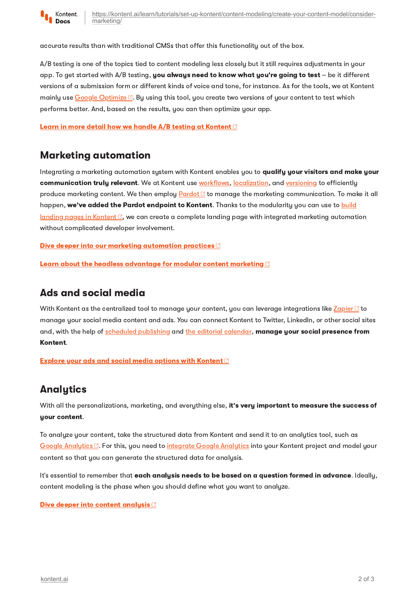

accurate results than with traditional CMSs that offer this functionality out of the box.

A/B testing is one of the topics tied to content modeling less closely but it still requires adjustments in your app. To get started with  $A/B$  testing, you always need to know what you're going to test  $-$  be it different versions of a submission form or different kinds of voice and tone, for instance. As for the tools, we at Kontent mainly use Google [Optimize](https://support.google.com/optimize/answer/6197440?hl=en) C. By using this tool, you create two versions of your content to test which performs better. And, based on the results, you can then optimize your app.

Learn in more detail how we handle A/B testing at [Kontent](https://kontent.ai/blog/kontent-loves-ab-tests/)  $\circledcirc$ 

### <span id="page-1-1"></span>Marketing automation

Integrating a marketing automation sustem with Kontent enables you to **qualify your visitors and make your** communication truly relevant. We at Kontent use [workflows,](https://kontent.ai/learn/tutorials/manage-kontent/roles-and-workflow/manage-workflows/) [localization](https://kontent.ai/learn/tutorials/manage-kontent/projects/set-up-languages/), and [versioning](https://kontent.ai/learn/tutorials/write-and-collaborate/create-content/compare-and-restore-versions/) to efficiently produce marketing content. We then employ [Pardot](https://www.pardot.com/) **C** to manage the marketing communication. To make it all happen, we've added the Pardot endpoint to Kontent. Thanks to the [modularity](https://kontent.ai/blog/kontent-loves-landing-pages) you can use to build  $l$ anding pages in Kontent  $\mathbb{Z}$ , we can create a complete landing page with integrated marketing automation without complicated developer involvement.

Dive deeper into our marketing [automation](https://kontent.ai/blog/kontent-loves-marketing-automation/) practices  $\mathbb C$ 

Learn about the headless [advantage](https://kontent.ai/blog/continuous-improvement-the-headless-advantage-for-marketing/) for modular content marketing **B** 

#### <span id="page-1-2"></span>Ads and social media

With Kontent as the centralized tool to manage your content, you can leverage integrations like [Zapier](https://kontent.ai/integrations/zapier)  $\Box$  to manage your social media content and ads. You can connect Kontent to Twitter, LinkedIn, or other social sites and, with the help of scheduled [publishing](https://kontent.ai/learn/tutorials/write-and-collaborate/publish-your-work/schedule-content-publishing/) and the editorial [calendar,](https://kontent.ai/learn/tutorials/write-and-collaborate/plan-your-content-release/plan-ahead-with-the-editorial-calendar/) manage your social presence from Kontent.

Explore your ads and social media options with [Kontent](https://kontent.ai/blog/kontent-loves-social-media/)  $\mathbb C$ 

## <span id="page-1-0"></span>Analytics

With all the personalizations, marketing, and everything else, it's very important to measure the success of your content.

To analyze your content, take the structured data from Kontent and send it to an analytics tool, such as Google [Analytics](https://kontent.ai/learn/tutorials/develop-apps/integrate/google-analytics/)  $\mathbb{C}$ . For this, you need to integrate Google Analytics into your Kontent project and model your content so that you can generate the structured data for analysis.

It's essential to remember that each analysis needs to be based on a question formed in advance. Ideally, content modeling is the phase when you should define what you want to analyze.

#### Dive deeper into content [analysis](https://kontent.ai/blog/kontent-loves-analytics/)<sup>C</sup>